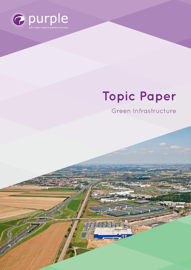

# **Topic Paper**

Green Infrastructure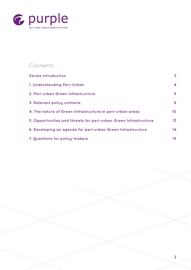

# **Contents**

| <b>Series Introduction</b>                                       | $\overline{\mathbf{3}}$ |
|------------------------------------------------------------------|-------------------------|
| 1. Understanding Peri-Urban                                      | $\overline{\mathbf{4}}$ |
| 2. Peri-urban Green Infrastructure                               | 5                       |
| 3. Relevant policy contexts                                      | 8                       |
| 4. The nature of Green Infrastructure in peri-urban areas        | 10                      |
| 5. Opportunities and threats for peri-urban Green Infrastructure | 13                      |
| 6. Developing an agenda for peri-urban Green Infrastructure      | 14                      |
| 7. Questions for policy-makers                                   | 15                      |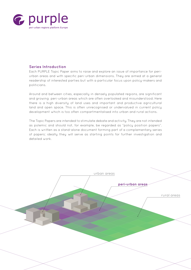

## **Series Introduction**

Each PURPLE Topic Paper aims to raise and explore an issue of importance for periurban areas and with specific peri-urban dimensions. They are aimed at a general readership of interested parties but with a particular focus upon policy-makers and politicians.

Around and between cities, especially in densely populated regions, are significant and growing peri-urban areas which are often overlooked and misunderstood. Here there is a high diversity of land uses and important and productive agricultural land and open space. This is often unrecognised or undervalued in current policy development which is too often compartmentalised into urban and rural actions.

The Topic Papers are intended to stimulate debate and activity. They are not intended as polemic and should not, for example, be regarded as "policy position papers". Each is written as a stand-alone document forming part of a complementary series of papers; ideally they will serve as starting points for further investigation and detailed work.

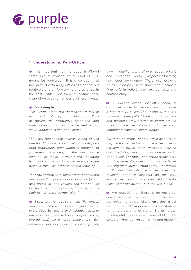

## **1. Understanding Peri-Urban**

It is important that the reader is offered some sort of explanation of what PURPLE means by peri-urban. It is a concept that has proved extremely difficult to define but relatively straightforward to characterise. In the past PURPLE has tried to capture these characteristics in a number of different ways.

#### **For example:**

*"Peri-urban areas are themselves a mix of urban and rural. They contain high proportions of agriculture, productive woodland and forest close to Europe's cities as well as high value landscapes and open space.*

*They are functionally diverse, being on the one hand important for farming, forestry and food production, often within or adjacent to protected landscapes, but they are also the location for major infrastructure, including transport, as well as for water storage, waste disposal facilities, processing and industry.*

*The crowded nature of these areas means there are conflicting pressures on land use (which also drives up land values) and competition for finite natural resources, together with a high risk of land fragmentation".*

Elsewhere we have said that: *"Peri-urban areas are where urban and rural features coexist. Suburbs, towns and villages together with essential infrastructure (transport, waste, energy etc.) serve large populations. But between and alongside this development,*  *there is another world of open space, forests and woodlands – and [...] important farming and food production. There are growing pressures on peri-urban space and resources (particularly water) which are complex and contradictory."*

*"Peri-urban areas are often seen as attractive places to live and work that offer a high quality of life. The upside of this is a dynamism exemplified by economic success and business growth often clustered around innovation centres, airports and other wellconnected transport interchanges.*

*But in some areas, people are moving from city centres to peri-urban areas because of the availability of more desirable housing and lifestyles, and this can create social imbalances. For many peri-urban areas there is a down side of success and growth in terms of rising land values, urban sprawl, increased traffic, unsustainable use of resources and potential negative impacts on the very environment and landscapes which make these territories attractive in the first place".*

We accept that there is no universal consensus over the meaning of the term peri-urban, and are fully aware that a set definition which works in all circumstances remains elusive to arrive at. Nevertheless, this hopefully gives a clear idea of PURPLE's sense of what peri-urban is like and about.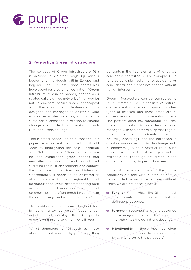

## **2. Peri-urban Green Infrastructure**

The concept of Green Infrastructure (GI) is defined in different ways by various bodies and individuals within Europe and beyond. The EU institutions themselves have opted for a catch-all definition: "Green Infrastructure can be broadly defined as a strategically planned network of high quality natural and semi-natural areas (landscapes) with other environmental features, which is designed and managed to deliver a wide range of ecosystem services, play a role in a sustainable landscape in relation to climate change and protect biodiversity in both rural and urban settings".

That is broad indeed. For the purposes of this paper we will accept the above but will add focus by highlighting this helpful addition from Natural England: "Green Infrastructure includes established green spaces and new sites and should thread through and surround the built environment and connect the urban area to its wider rural hinterland. Consequently it needs to be delivered at all spatial scales from sub-regional to local neighbourhood levels, accommodating both accessible natural green spaces within local communities and often much larger sites in the urban fringe and wider countryside".

The addition of the Natural England text brings a tighter peri-urban focus to our debate and also neatly reflects key points of our own thinking to which we will return.

Whilst definitions of GI such as those above are not universally preferred, they do contain the key elements of what we consider is central to GI. For example, GI is "strategically planned", it is not accidental or coincidental and it does not happen without human intervention.

Green Infrastructure can be contrasted to "built infrastructure", it consists of natural and semi-natural areas as opposed to other types of territory and those areas are of above average quality. Those natural areas MAY possess other environmental features. The GI in question is both designed and managed with one or more purposes (again, it is not accidental, incidental or wholly naturally occurring), and the purpose/s in question are related to climate change and/ or biodiversity. Such infrastructure is to be found in urban and rural settings – and by extrapolation, (although not stated in the quoted definitions), in peri-urban areas.

Some of the ways in which the above conditions are met with in practice should be regarded as requisite features without which we are not describing GI:

- **Function** that which the GI does must make a contribution in line with what the definitions describe.
- **Purpose** reason(s) why it is designed and managed in the way that it is, is in line with what the definitions describe.
- **Intentionality** there must be clear human intervention to establish the functions to serve the purpose(s).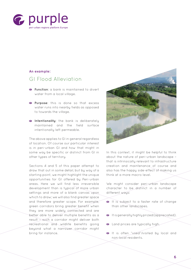

#### **An example:**

## GI Flood Alleviation

- **Function**: a bank is maintained to divert water from a local village.
- **Purpose**: this is done so that excess water runs into nearby fields as opposed to towards the village.
- **Intentionality**: the bank is deliberately maintained and the field surface intentionally left permeable.

The above applies to GI in general regardless of location. Of course our particular interest is in peri-urban GI and how that might in some way be specific or distinct from GI in other types of territory.

Sections 4 and 5 of this paper attempt to draw that out in some detail, but by way of a starting point, we might highlight the unique opportunities for GI offered by Peri-urban areas. Here we will find less irreversible development than is typical of more urban settings and more of a blank canvas upon which to draw; we will also find greater space and therefore greater scope. For example, green corridors bring greater benefit when they are more widely connected and are better able to deliver multiple benefits as a result – such a corridor might deliver both recreational and wildlife benefits going beyond what a narrower corridor might bring for instance.



In this context, it might be helpful to think about the nature of peri-urban landscape – that is intrinsically relevant to infrastructure creation and maintenance of course and also has the happy side-effect of making us think at a more macro level.

We might consider peri-urban landscape character to be distinct in a number of different ways:

- It is subject to a faster rate of change than other landscapes.
- It is generally highly prized (appreciated).
- **Land prices are typically high.**
- It is often "used"/visited by local and non-local residents.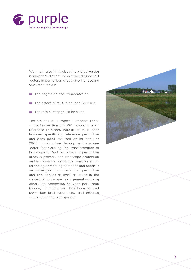

We might also think about how biodiversity is subject to distinct (or extreme degrees of) factors in peri-urban areas given landscape features such as:

- The degree of land fragmentation.
- The extent of multi-functional land use.
- The rate of changes in land use.

The Council of Europe's European Landscape Convention of 2000 makes no overt reference to Green Infrastructure, it does however specifically reference peri-urban and does point out that as far back as 2000 infrastructure development was one factor "accelerating the transformation of landscapes". Much emphasis in peri-urban areas is placed upon landscape protection and in managing landscape transformation. Balancing competing demands and needs is an archetypal characteristic of peri-urban and this applies at least as much in the context of landscape management as in any other. The connection between peri-urban (Green) Infrastructure Development and peri-urban landscape policy and practice should therefore be apparent.

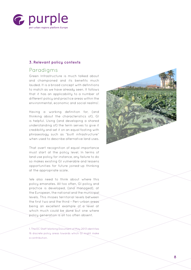

## **3. Relevant policy contexts**

# Paradigms

Green Infrastructure is much talked about and championed and its benefits much lauded. It is a broad concept with definitions to match as we have already seen. It follows that it has an applicability to a number of different policy and practice areas within the environmental, economic and social realms 1 .

Having a working definition for, (and thinking about the characteristics of), GI is helpful. Using (and developing a shared understanding of) the term serves to give it credibility and set it on an equal footing with phraseology such as "built infrastructure" when used to describe alternative land uses.

That overt recognition of equal importance must start at the policy level. In terms of land use policy for instance, any failure to do so makes existing GI vulnerable and lessens opportunities for future joined-up thinking at the appropriate scale.

We also need to think about where this policy emanates. All too often, GI policy and practice is developed, (and managed), at the European, the national and the municipal levels. This misses territorial levels between the first two and the third – Peri-urban areas being an excellent example of a level at which much could be done but one where policy generation is all too often absent.

1. The EC Staff Working Document of May 2013 identifies 16 discrete policy areas towards which GI might make a contribution.

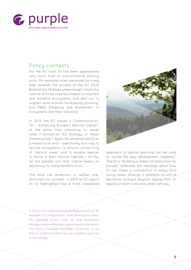

## Policy contexts

For the EU itself, GI has been approached very much from an environmental starting point. For example when perceived as a key step towards the success of the EU 2020 Biodiversity Strategy, where target 2 explicitly calls for GI to be used as a means to maintain and enhance ecosystems and sets out to support work around "biodiversity proofing" and MAES (Mapping and Assessment of Ecosystems and their Services).

In 2013, the EC issued a Communication, "GI - Enhancing Europe's Natural Capital", at the same time chooosing to adopt what it termed an "EU Strategy on *Green Infrastructure*"2. Again this emphasised GI as a means to an end – specifically as a way to restore ecosystems, to ensure connectivity of "natural areas" and to enable species to thrive in their natural habitats – all this for the greater aim that "nature keeps on delivering its many benefits to us".

The land use dimension is neither predominant nor ignored - in 2010 an EC report on GI highlighted how a more integrated



approach to spatial planning can be used to "guide the way development happens". The EU's "Building a *Green Infrastructure* for Europe" reiterates the message about how GI can make a contribution in many (EU) policy areas, athough it attempts no sort of territorial analysis beyond saying that GI applies in both rural and urban settings.

2. This is not a single published strategy position but an amalgam of Communication, Staff Working Document, the supported actions under the 2020 Biodiversity Strategy as above and other supporting documentation. The Council, European Parliament, Committee of the Regions (CoR) and EESC have all published reactions to the strategy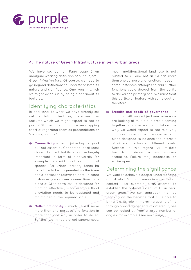

## **4. The nature of Green Infrastructure in peri-urban areas**

We have set out on Page page 5 an amalgam working definition of our subject – *Green Infrastructure*. Of course, we need to go beyond definitions to understand both its nature and significance. One way in which we might do this is by being clear about its features.

## Identifying characteristics

In additional to what we have already set out as defining features, there are also features which we might expect to see as part of GI. They typify it but we are stopping short of regarding them as preconditions or "defining factors".

- **Connectivity** being joined-up is good but not essential. Connected, or at least closely located, habitats can be hugely important in term of biodiversity for example to avoid local extinction of species. Peri-urban territory tends by its nature to be fragmented so the issue has a particular relevance here. In some instances you do need connections for a piece of GI to carry out its designed-for function effectively – for example flood alleviation needs to be designed and maintained at the required scale.
- **Multi-functionality** much GI-will serve more than one purpose and function in more than one way in order to do so. But the two things are not sunonumous:

much multifunctional land use is not related to GI and not all GI has more than one purpose and function. Indeed in some instances attempts to add further functions could detract from the ability to deliver the primary one. We must treat this particular feature with some caution therefore.

 **Breadth and depth of governance** – in common with any subject area where we are looking at multiple interests coming together in some sort of collaborative way, we would expect to see relatively complex governance arrangements in place designed to balance the interests of different actors at different levels. Success in this regard will militate towards maximum win-win success scenarios. Failure may jeopardise an entire operation!

## Determining the significance

We want to achieve a deeper understanding of just what GI might mean in a peri-urban context - for example in an attempt to establish the optimal extent of GI in periurban areas. We can approach this by focusing on the benefits that GI is able to bring; e.g. its role in improving quality of life through providing benefits of different types can be looked at from a large number of angles, for example: (see next page)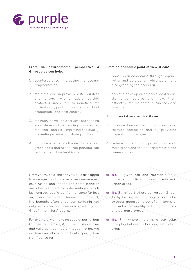

#### **From an environmental perspective a GI resource can help:**

- 1. counterbalance increasing landscape fragmentation.
- 2. maintain and improve wildlife habitats and ensure wildlife exists outside protected areas, in turn beneficial for pollination (good for crops and food production) and pest control.
- 3. maintain the valuable services provided by ecosystems such as cleaning air and water, reducing flood risk, improving soil quality, preventing erosion and storing carbon.
- 4. mitigate effects of climate change, e.g. green roofs and urban tree planting can reduce the urban heat island.

#### **From an economic point of view, it can:**

- 5. boost local economies through regeneration and job creation, whilst potentially also greening the economy.
- 6. serve to develop or preserve local areas' distinctive features and make them attractive for residents, businesses and tourism.

#### **From a social perspective, it can:**

- 7. improve human health and wellbeing through recreation and by providing appealing landscapes.
- 8. reduce crime though provision of wellmaintained and aesthetic and maintained green spaces.

However, much of the above would also apply to managed, and in some cases unmanaged, countryside and indeed the same benefits are often claimed for interventions which lack any obvious "green "dimension.- far less any clear peri-urban dimension. In short, the benefits often cited can certainly not only be claimed for those areas meeting our GI definition "test" above.

For example, we make no special peri-urban GI case for items 2, 4, 5 6 or 8 above, true and valid as they may all happen to be. We do however claim a particular peri-urban significance for:

- **No. 1** given that land fragmentation is an issue of particular importance in periurban areas.
- **No. 3** in part where peri-urban GI can fairly be argued to bring a particular broader geographic benefit in terms of air and water quality, reducing flood risk and carbon storage.
- **No. 7** where there is a particular interplay between urban and peri-urban areas.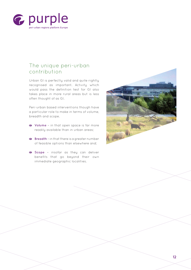

# The unique peri-urban contribution

Urban GI is perfectly valid and quite rightly recognised as important. Activity which would pass the definition test for GI also takes place in more rural areas but is less often thought of as GI.

Peri-urban based interventions though have a particular role to make in terms of volume, breadth and scope.

- **Volume** in that open space is far more readily available than in urban areas;
- **Breadth** in that there is a greater number of feasible options than elsewhere and;
- **Scope** insofar as they can deliver benefits that go beyond their own immediate geographic localities.

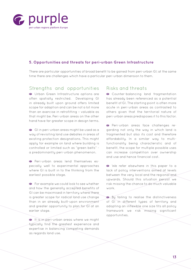

## **5. Opportunities and threats for peri-urban Green Infrastructure**

There are particular opportunities of broad benefit to be gained from peri-urban GI; at the same time there are challenges which have a particular peri-urban dimension to them.

## Strengths and opportunities

Urban Green Infrastructure options are often spatially restricted. Developing GI in already built upon ground offers limited scope for adaption and can be not a lot more than an exercise in retrofitting – valuable as that might be. Peri-urban areas on the other hand have far greater scope in design terms.

Glin peri-urban areas might be used as a way of revisiting land use debates in areas of existing protection designations. This might apply for example on land where building is controlled or limited such as "green belts" a predominantly peri-urban phenomenon.

**Peri-urban areas lend themselves es**pecially well to experimental approaches where GI is built in to the thinking from the earliest possible stage.

For example we could look to see whether and how the generally accepted benefits of GI can be maximised in territory where there is greater scope for radical land use change than in an already built-upon environment and greater opportunity to plan for GI at an earlier stage.

It is in peri-urban areas where we might typically find the greatest experience and expertise in balancing competing demands as regards land use.

## Risks and threats

Counter-balancing land fragmentation has already been referenced as a potential benefit of GI. The starting point is often more acute in peri-urban areas as contrasted to others given that the territorial nature of peri-urban areas predisposes it to this factor.

Peri-urban areas face challenges regarding not only the way in which land is fragmented but also its cost and therefore affordability. In a similar way to multifunctionality being characteristic and of benefit, the scope for multiple possible uses can increase competition over ownership and use and hence financial cost.

We refer elsewhere in this paper to a lack of policy interventions aimed at levels between the very local and the regional and upwards. Should this situation persist we risk missing the chance to do much valuable work.

By failing to realise the distinctiveness of GI in different types of territory and adopting an inflexible one size fits all policy framework we risk missing significant opportunities.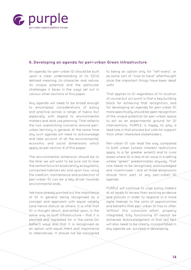

## **6. Developing an agenda for peri-urban Green Infrastructure**

An agenda for peri-urban GI should be built upon a clear understanding of its (GI's) defined meaning, its character and nature, its unique potential and the particular challenges it faces in the ways set out in various other sections of this paper.

Any agenda will need to be broad enough to encompass considerations of policy and practice across a range of topics but especially with regard to environmental matters and land use planning. That reflects the two overarching concerns around periurban territory in general. At the same time any such agenda will need to acknowledge and take account of all the environmental, economic and social dimensions which apply as per section 4 of this paper.

The environmental dimension should be to the fore; we will want to be sure not to lose the central focus on biodiversity, ecosystems, connected habitats etc and upon how using the creation, maintenance and protection of peri-urban GI can be a key driver towards environmental ends.

We have already pointed out the importance of GI in general being recognised as a concept and approach with equal validity (and hence status) as others. It is vital that GI is thought about, and acted upon, in the same way as built infrastructure – that it is planned and legislated for in the same (or better!) ways and that it is recognised as an option with equal merit and importance to alternatives. It should not be consigned to being an option only for "left-overs", or as some sort of "nice to have" afterthought once the important things have been dealt with!

That applies to GI regardless of its location of course but our point is that a key building block for achieving that recognition, and for developing an agenda for peri-urban GI more specifically, should be open recognition of the unique potential for peri-urban space to act as an experimental ground for GI interventions. PURPLE is happy to play a lead role in that process but calls for support from other interested stakeholders.

Peri-urban GI can lead the way compared to both urban (where inherent restrictions apply to a far greater extent) and to rural areas where GI is less of an issue in a setting where "green" predominates anyway. That role needs to be recognised, acknowledged and incentivised – and all three dimensions should form part of any peri-urban GL agenda.

PURPLE will continue to urge policy makers at all levels to review their existing evidence and policies in order to respond in a more agile manner to the sorts of opportunities and benefits that peri-urban GI has to offer. Without this conscious effort, properly integrated, fully functioning GI cannot be achieved. Acknowledgment of that last fact will also need to be clearly incorportated in any agenda we succeed in developing.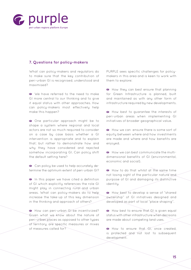

## **7. Questions for policy-makers**

What can policy-makers and regulators do to make sure that the key contribution of peri-urban GI is recognised, understood and maximised?

We have referred to the need to make GI more central to our thinking and to give it equal status with other approaches. How can policy-makers most effectively help make this happen?

One particular approach might be to shape a system where regional and local actors are not so much required to consider on a case by case basis whether a GI intervention is appropriate and to explain that; but rather to demonstrate how and why they have considered and rejected somehow incorporating GI. Can policy shift the default setting here?

Can policy be used to help accurately determine the optimum extent of peri-urban GI?

**In this paper we have cited a definition** of GI which explicitly references the role GI might play in connecting rural and urban areas. What can policy-makers do to help increase the take-up of this key dimension in the thinking and approach of others?

How can peri-urban GI be incentivized? Given what we know about the nature of peri-urban places as opposed to other types of territory, are specific measures or mixes of measures called for?

PURPLE sees specific challenges for policymakers in this area and is keen to work with them to explore:

How they can best ensure that planning for Green Infrastructure is planned, built and maintained as with any other form of infrastructure required by new developments.

How best to quarantee the interests of peri-urban areas when implementing GI initiatives of broader geographical value.

How we can ensure there is some sort of equity between where and how investments are made and where and how benefits are enjoyed.

How we can best communicate the multidimensional benefits of GI (environmental, economic and social).

How to do that whilst at the same time not losing sight of the particular nature and purpose of GI and damaging its distinctive identity.

How best to develop a sense of "shared" ownership" of GI initiatives designed and developed as part of local "place shaping".

How best to ensure that GI is given equal status with other infrastructure when decisions are made about competing land uses.

How to ensure that GI, once created, is protected and not lost to subsequent development.